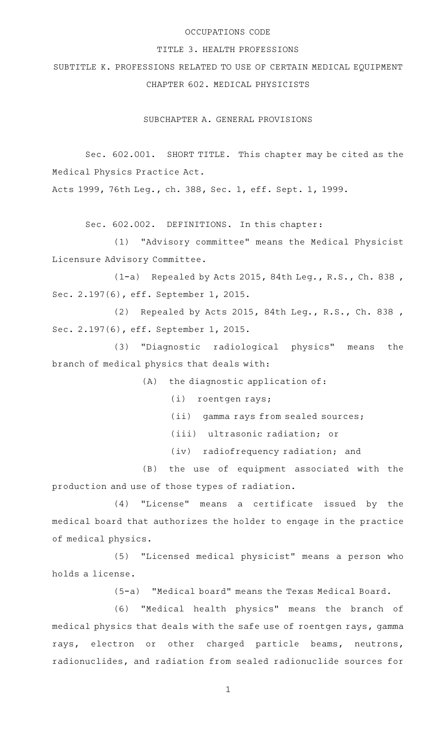### OCCUPATIONS CODE

### TITLE 3. HEALTH PROFESSIONS

SUBTITLE K. PROFESSIONS RELATED TO USE OF CERTAIN MEDICAL EQUIPMENT CHAPTER 602. MEDICAL PHYSICISTS

SUBCHAPTER A. GENERAL PROVISIONS

Sec. 602.001. SHORT TITLE. This chapter may be cited as the Medical Physics Practice Act.

Acts 1999, 76th Leg., ch. 388, Sec. 1, eff. Sept. 1, 1999.

Sec. 602.002. DEFINITIONS. In this chapter:

(1) "Advisory committee" means the Medical Physicist Licensure Advisory Committee.

 $(1-a)$  Repealed by Acts 2015, 84th Leg., R.S., Ch. 838, Sec. 2.197(6), eff. September 1, 2015.

(2) Repealed by Acts 2015, 84th Leg., R.S., Ch. 838, Sec. 2.197(6), eff. September 1, 2015.

(3) "Diagnostic radiological physics" means the branch of medical physics that deals with:

 $(A)$  the diagnostic application of:

(i) roentgen rays;

- (ii) gamma rays from sealed sources;
- (iii) ultrasonic radiation; or
- (iv) radiofrequency radiation; and

(B) the use of equipment associated with the production and use of those types of radiation.

 $(4)$  "License" means a certificate issued by the medical board that authorizes the holder to engage in the practice of medical physics.

(5) "Licensed medical physicist" means a person who holds a license.

(5-a) "Medical board" means the Texas Medical Board.

(6) "Medical health physics" means the branch of medical physics that deals with the safe use of roentgen rays, gamma rays, electron or other charged particle beams, neutrons, radionuclides, and radiation from sealed radionuclide sources for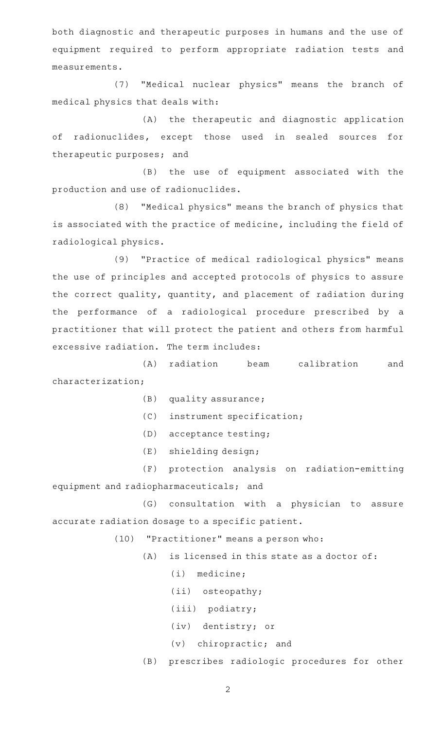both diagnostic and therapeutic purposes in humans and the use of equipment required to perform appropriate radiation tests and measurements.

(7) "Medical nuclear physics" means the branch of medical physics that deals with:

(A) the therapeutic and diagnostic application of radionuclides, except those used in sealed sources for therapeutic purposes; and

(B) the use of equipment associated with the production and use of radionuclides.

(8) "Medical physics" means the branch of physics that is associated with the practice of medicine, including the field of radiological physics.

(9) "Practice of medical radiological physics" means the use of principles and accepted protocols of physics to assure the correct quality, quantity, and placement of radiation during the performance of a radiological procedure prescribed by a practitioner that will protect the patient and others from harmful excessive radiation. The term includes:

(A) radiation beam calibration and characterization;

 $(B)$  quality assurance;

(C) instrument specification;

(D) acceptance testing;

 $(E)$  shielding design;

(F) protection analysis on radiation-emitting equipment and radiopharmaceuticals; and

(G) consultation with a physician to assure accurate radiation dosage to a specific patient.

(10) "Practitioner" means a person who:

 $(A)$  is licensed in this state as a doctor of:

 $(i)$  medicine;

(ii) osteopathy;

(iii) podiatry;

(iv) dentistry; or

 $(v)$  chiropractic; and

(B) prescribes radiologic procedures for other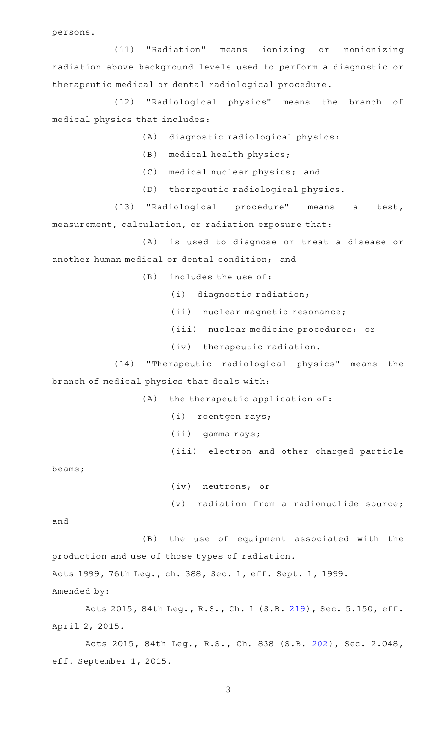persons.

(11) "Radiation" means ionizing or nonionizing radiation above background levels used to perform a diagnostic or therapeutic medical or dental radiological procedure.

(12) "Radiological physics" means the branch of medical physics that includes:

- (A) diagnostic radiological physics;
- (B) medical health physics;
- (C) medical nuclear physics; and
- (D) therapeutic radiological physics.

(13) "Radiological procedure" means a test, measurement, calculation, or radiation exposure that:

(A) is used to diagnose or treat a disease or another human medical or dental condition; and

 $(B)$  includes the use of:

- $(i)$  diagnostic radiation;
- (ii) nuclear magnetic resonance;
- (iii) nuclear medicine procedures; or
- (iv) therapeutic radiation.
- (14) "Therapeutic radiological physics" means the branch of medical physics that deals with:

 $(A)$  the therapeutic application of:

- (i) roentgen rays;
- (ii) gamma rays;
- (iii) electron and other charged particle

beams;

(iv) neutrons; or

 $(v)$  radiation from a radionuclide source;

and

(B) the use of equipment associated with the production and use of those types of radiation.

Acts 1999, 76th Leg., ch. 388, Sec. 1, eff. Sept. 1, 1999.

Amended by:

Acts 2015, 84th Leg., R.S., Ch. 1 (S.B. [219](http://www.legis.state.tx.us/tlodocs/84R/billtext/html/SB00219F.HTM)), Sec. 5.150, eff. April 2, 2015.

Acts 2015, 84th Leg., R.S., Ch. 838 (S.B. [202](http://www.legis.state.tx.us/tlodocs/84R/billtext/html/SB00202F.HTM)), Sec. 2.048, eff. September 1, 2015.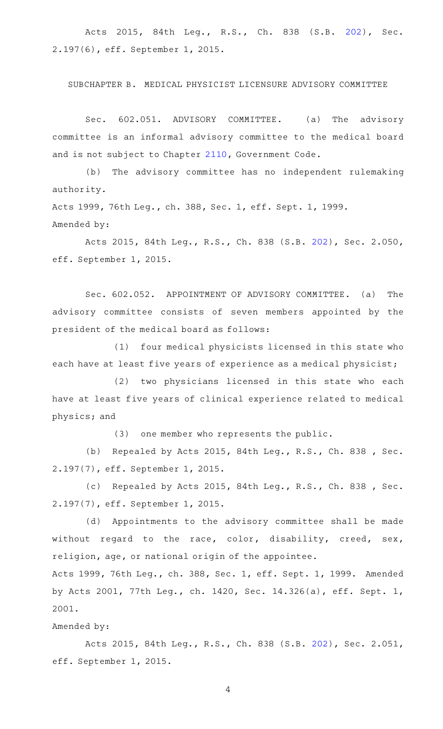Acts 2015, 84th Leg., R.S., Ch. 838 (S.B. [202\)](http://www.legis.state.tx.us/tlodocs/84R/billtext/html/SB00202F.HTM), Sec. 2.197(6), eff. September 1, 2015.

### SUBCHAPTER B. MEDICAL PHYSICIST LICENSURE ADVISORY COMMITTEE

Sec. 602.051. ADVISORY COMMITTEE. (a) The advisory committee is an informal advisory committee to the medical board and is not subject to Chapter [2110,](http://www.statutes.legis.state.tx.us/GetStatute.aspx?Code=GV&Value=2110) Government Code.

(b) The advisory committee has no independent rulemaking authority.

Acts 1999, 76th Leg., ch. 388, Sec. 1, eff. Sept. 1, 1999. Amended by:

Acts 2015, 84th Leg., R.S., Ch. 838 (S.B. [202](http://www.legis.state.tx.us/tlodocs/84R/billtext/html/SB00202F.HTM)), Sec. 2.050, eff. September 1, 2015.

Sec. 602.052. APPOINTMENT OF ADVISORY COMMITTEE. (a) The advisory committee consists of seven members appointed by the president of the medical board as follows:

(1) four medical physicists licensed in this state who each have at least five years of experience as a medical physicist;

(2) two physicians licensed in this state who each have at least five years of clinical experience related to medical physics; and

(3) one member who represents the public.

(b) Repealed by Acts 2015, 84th Leg., R.S., Ch. 838, Sec. 2.197(7), eff. September 1, 2015.

(c) Repealed by Acts 2015, 84th Leg., R.S., Ch. 838, Sec. 2.197(7), eff. September 1, 2015.

(d) Appointments to the advisory committee shall be made without regard to the race, color, disability, creed, sex, religion, age, or national origin of the appointee.

Acts 1999, 76th Leg., ch. 388, Sec. 1, eff. Sept. 1, 1999. Amended by Acts 2001, 77th Leg., ch. 1420, Sec. 14.326(a), eff. Sept. 1, 2001.

### Amended by:

Acts 2015, 84th Leg., R.S., Ch. 838 (S.B. [202](http://www.legis.state.tx.us/tlodocs/84R/billtext/html/SB00202F.HTM)), Sec. 2.051, eff. September 1, 2015.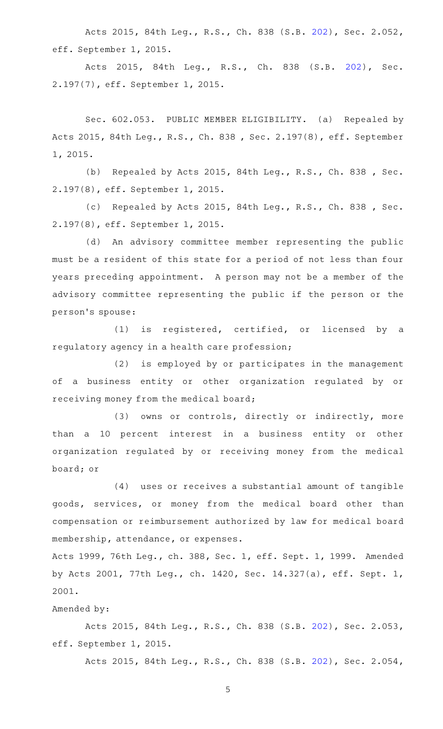Acts 2015, 84th Leg., R.S., Ch. 838 (S.B. [202](http://www.legis.state.tx.us/tlodocs/84R/billtext/html/SB00202F.HTM)), Sec. 2.052, eff. September 1, 2015.

Acts 2015, 84th Leg., R.S., Ch. 838 (S.B. [202\)](http://www.legis.state.tx.us/tlodocs/84R/billtext/html/SB00202F.HTM), Sec. 2.197(7), eff. September 1, 2015.

Sec. 602.053. PUBLIC MEMBER ELIGIBILITY. (a) Repealed by Acts 2015, 84th Leg., R.S., Ch. 838 , Sec. 2.197(8), eff. September 1, 2015.

(b) Repealed by Acts 2015, 84th Leg., R.S., Ch. 838, Sec. 2.197(8), eff. September 1, 2015.

(c) Repealed by Acts 2015, 84th Leg., R.S., Ch. 838 , Sec. 2.197(8), eff. September 1, 2015.

(d) An advisory committee member representing the public must be a resident of this state for a period of not less than four years preceding appointment. A person may not be a member of the advisory committee representing the public if the person or the person 's spouse:

 $(1)$  is registered, certified, or licensed by a regulatory agency in a health care profession;

 $(2)$  is employed by or participates in the management of a business entity or other organization regulated by or receiving money from the medical board;

(3) owns or controls, directly or indirectly, more than a 10 percent interest in a business entity or other organization regulated by or receiving money from the medical board; or

 $(4)$  uses or receives a substantial amount of tangible goods, services, or money from the medical board other than compensation or reimbursement authorized by law for medical board membership, attendance, or expenses.

Acts 1999, 76th Leg., ch. 388, Sec. 1, eff. Sept. 1, 1999. Amended by Acts 2001, 77th Leg., ch. 1420, Sec. 14.327(a), eff. Sept. 1, 2001.

# Amended by:

Acts 2015, 84th Leg., R.S., Ch. 838 (S.B. [202](http://www.legis.state.tx.us/tlodocs/84R/billtext/html/SB00202F.HTM)), Sec. 2.053, eff. September 1, 2015.

Acts 2015, 84th Leg., R.S., Ch. 838 (S.B. [202](http://www.legis.state.tx.us/tlodocs/84R/billtext/html/SB00202F.HTM)), Sec. 2.054,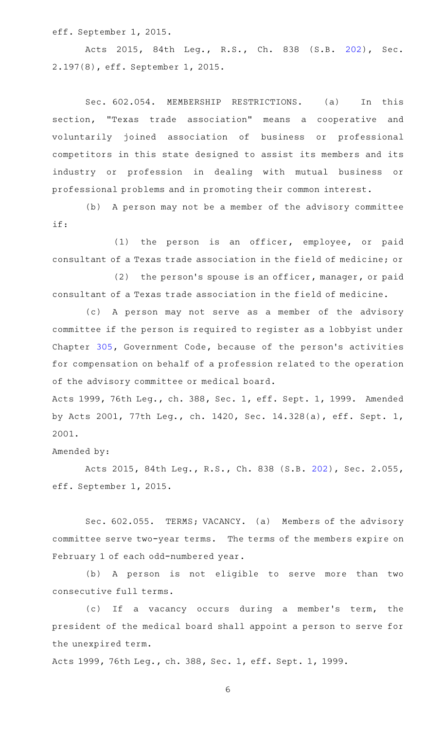eff. September 1, 2015.

Acts 2015, 84th Leg., R.S., Ch. 838 (S.B. [202\)](http://www.legis.state.tx.us/tlodocs/84R/billtext/html/SB00202F.HTM), Sec. 2.197(8), eff. September 1, 2015.

Sec. 602.054. MEMBERSHIP RESTRICTIONS. (a) In this section, "Texas trade association" means a cooperative and voluntarily joined association of business or professional competitors in this state designed to assist its members and its industry or profession in dealing with mutual business or professional problems and in promoting their common interest.

(b) A person may not be a member of the advisory committee if:

(1) the person is an officer, employee, or paid consultant of a Texas trade association in the field of medicine; or

 $(2)$  the person's spouse is an officer, manager, or paid consultant of a Texas trade association in the field of medicine.

(c) A person may not serve as a member of the advisory committee if the person is required to register as a lobbyist under Chapter [305,](http://www.statutes.legis.state.tx.us/GetStatute.aspx?Code=GV&Value=305) Government Code, because of the person 's activities for compensation on behalf of a profession related to the operation of the advisory committee or medical board.

Acts 1999, 76th Leg., ch. 388, Sec. 1, eff. Sept. 1, 1999. Amended by Acts 2001, 77th Leg., ch. 1420, Sec. 14.328(a), eff. Sept. 1, 2001.

## Amended by:

Acts 2015, 84th Leg., R.S., Ch. 838 (S.B. [202](http://www.legis.state.tx.us/tlodocs/84R/billtext/html/SB00202F.HTM)), Sec. 2.055, eff. September 1, 2015.

Sec. 602.055. TERMS; VACANCY. (a) Members of the advisory committee serve two-year terms. The terms of the members expire on February 1 of each odd-numbered year.

(b)AAA person is not eligible to serve more than two consecutive full terms.

(c) If a vacancy occurs during a member's term, the president of the medical board shall appoint a person to serve for the unexpired term.

Acts 1999, 76th Leg., ch. 388, Sec. 1, eff. Sept. 1, 1999.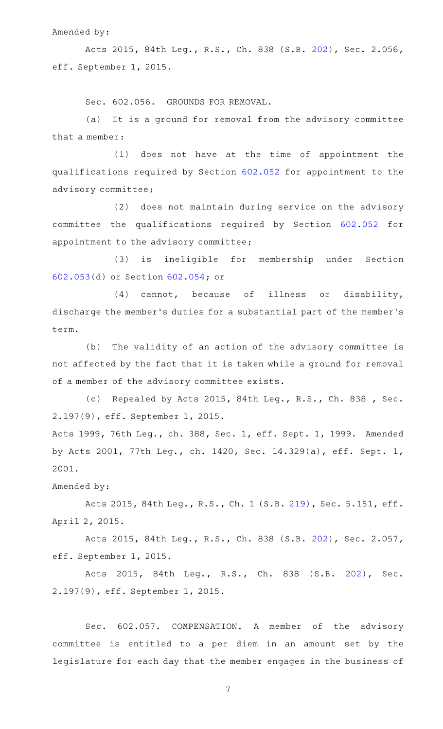### Amended by:

Acts 2015, 84th Leg., R.S., Ch. 838 (S.B. [202](http://www.legis.state.tx.us/tlodocs/84R/billtext/html/SB00202F.HTM)), Sec. 2.056, eff. September 1, 2015.

Sec. 602.056. GROUNDS FOR REMOVAL.

(a) It is a ground for removal from the advisory committee that a member:

(1) does not have at the time of appointment the qualifications required by Section [602.052](http://www.statutes.legis.state.tx.us/GetStatute.aspx?Code=OC&Value=602.052) for appointment to the advisory committee;

(2) does not maintain during service on the advisory committee the qualifications required by Section [602.052](http://www.statutes.legis.state.tx.us/GetStatute.aspx?Code=OC&Value=602.052) for appointment to the advisory committee;

(3) is ineligible for membership under Section [602.053\(](http://www.statutes.legis.state.tx.us/GetStatute.aspx?Code=OC&Value=602.053)d) or Section [602.054](http://www.statutes.legis.state.tx.us/GetStatute.aspx?Code=OC&Value=602.054); or

(4) cannot, because of illness or disability, discharge the member 's duties for a substantial part of the member 's term.

(b) The validity of an action of the advisory committee is not affected by the fact that it is taken while a ground for removal of a member of the advisory committee exists.

(c) Repealed by Acts 2015, 84th Leg., R.S., Ch. 838 , Sec. 2.197(9), eff. September 1, 2015.

Acts 1999, 76th Leg., ch. 388, Sec. 1, eff. Sept. 1, 1999. Amended by Acts 2001, 77th Leg., ch. 1420, Sec. 14.329(a), eff. Sept. 1, 2001.

Amended by:

Acts 2015, 84th Leg., R.S., Ch. 1 (S.B. [219](http://www.legis.state.tx.us/tlodocs/84R/billtext/html/SB00219F.HTM)), Sec. 5.151, eff. April 2, 2015.

Acts 2015, 84th Leg., R.S., Ch. 838 (S.B. [202](http://www.legis.state.tx.us/tlodocs/84R/billtext/html/SB00202F.HTM)), Sec. 2.057, eff. September 1, 2015.

Acts 2015, 84th Leg., R.S., Ch. 838 (S.B. [202\)](http://www.legis.state.tx.us/tlodocs/84R/billtext/html/SB00202F.HTM), Sec. 2.197(9), eff. September 1, 2015.

Sec. 602.057. COMPENSATION. A member of the advisory committee is entitled to a per diem in an amount set by the legislature for each day that the member engages in the business of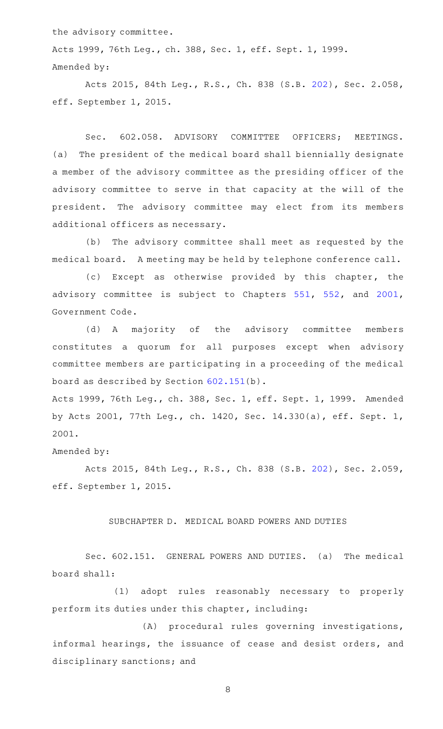the advisory committee.

Acts 1999, 76th Leg., ch. 388, Sec. 1, eff. Sept. 1, 1999. Amended by:

Acts 2015, 84th Leg., R.S., Ch. 838 (S.B. [202](http://www.legis.state.tx.us/tlodocs/84R/billtext/html/SB00202F.HTM)), Sec. 2.058, eff. September 1, 2015.

Sec. 602.058. ADVISORY COMMITTEE OFFICERS; MEETINGS. (a) The president of the medical board shall biennially designate a member of the advisory committee as the presiding officer of the advisory committee to serve in that capacity at the will of the president. The advisory committee may elect from its members additional officers as necessary.

(b) The advisory committee shall meet as requested by the medical board. A meeting may be held by telephone conference call.

(c) Except as otherwise provided by this chapter, the advisory committee is subject to Chapters [551,](http://www.statutes.legis.state.tx.us/GetStatute.aspx?Code=GV&Value=551) [552](http://www.statutes.legis.state.tx.us/GetStatute.aspx?Code=GV&Value=552), and [2001](http://www.statutes.legis.state.tx.us/GetStatute.aspx?Code=GV&Value=2001), Government Code.

(d) A majority of the advisory committee members constitutes a quorum for all purposes except when advisory committee members are participating in a proceeding of the medical board as described by Section [602.151\(](http://www.statutes.legis.state.tx.us/GetStatute.aspx?Code=OC&Value=602.151)b).

Acts 1999, 76th Leg., ch. 388, Sec. 1, eff. Sept. 1, 1999. Amended by Acts 2001, 77th Leg., ch. 1420, Sec. 14.330(a), eff. Sept. 1, 2001.

## Amended by:

Acts 2015, 84th Leg., R.S., Ch. 838 (S.B. [202](http://www.legis.state.tx.us/tlodocs/84R/billtext/html/SB00202F.HTM)), Sec. 2.059, eff. September 1, 2015.

## SUBCHAPTER D. MEDICAL BOARD POWERS AND DUTIES

Sec. 602.151. GENERAL POWERS AND DUTIES. (a) The medical board shall:

(1) adopt rules reasonably necessary to properly perform its duties under this chapter, including:

 $(A)$  procedural rules governing investigations, informal hearings, the issuance of cease and desist orders, and disciplinary sanctions; and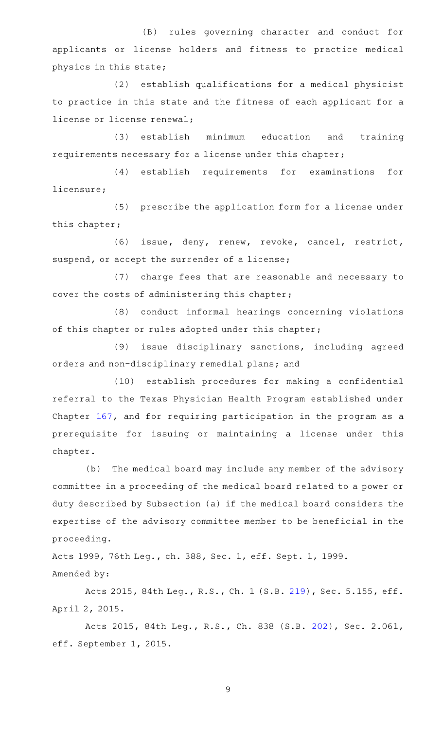(B) rules governing character and conduct for applicants or license holders and fitness to practice medical physics in this state;

(2) establish qualifications for a medical physicist to practice in this state and the fitness of each applicant for a license or license renewal;

(3) establish minimum education and training requirements necessary for a license under this chapter;

(4) establish requirements for examinations for licensure;

(5) prescribe the application form for a license under this chapter;

(6) issue, deny, renew, revoke, cancel, restrict, suspend, or accept the surrender of a license;

(7) charge fees that are reasonable and necessary to cover the costs of administering this chapter;

(8) conduct informal hearings concerning violations of this chapter or rules adopted under this chapter;

(9) issue disciplinary sanctions, including agreed orders and non-disciplinary remedial plans; and

(10) establish procedures for making a confidential referral to the Texas Physician Health Program established under Chapter [167](http://www.statutes.legis.state.tx.us/GetStatute.aspx?Code=OC&Value=167), and for requiring participation in the program as a prerequisite for issuing or maintaining a license under this chapter.

(b) The medical board may include any member of the advisory committee in a proceeding of the medical board related to a power or duty described by Subsection (a) if the medical board considers the expertise of the advisory committee member to be beneficial in the proceeding.

Acts 1999, 76th Leg., ch. 388, Sec. 1, eff. Sept. 1, 1999. Amended by:

Acts 2015, 84th Leg., R.S., Ch. 1 (S.B. [219](http://www.legis.state.tx.us/tlodocs/84R/billtext/html/SB00219F.HTM)), Sec. 5.155, eff. April 2, 2015.

Acts 2015, 84th Leg., R.S., Ch. 838 (S.B. [202](http://www.legis.state.tx.us/tlodocs/84R/billtext/html/SB00202F.HTM)), Sec. 2.061, eff. September 1, 2015.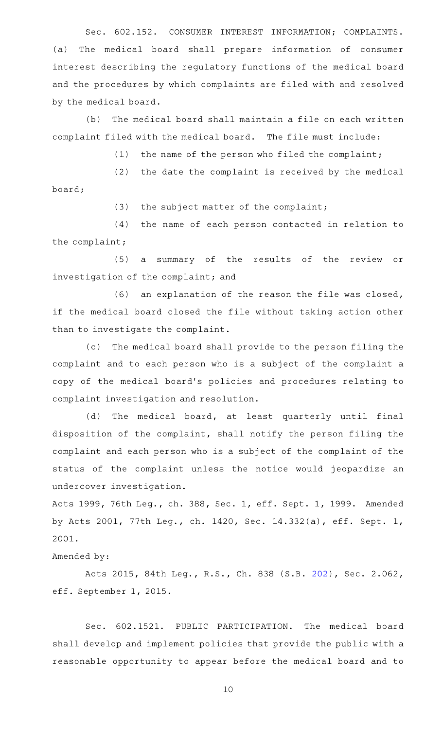Sec. 602.152. CONSUMER INTEREST INFORMATION; COMPLAINTS. (a) The medical board shall prepare information of consumer interest describing the regulatory functions of the medical board and the procedures by which complaints are filed with and resolved by the medical board.

(b) The medical board shall maintain a file on each written complaint filed with the medical board. The file must include:

(1) the name of the person who filed the complaint;

 $(2)$  the date the complaint is received by the medical board;

 $(3)$  the subject matter of the complaint;

(4) the name of each person contacted in relation to the complaint;

(5) a summary of the results of the review or investigation of the complaint; and

 $(6)$  an explanation of the reason the file was closed, if the medical board closed the file without taking action other than to investigate the complaint.

(c) The medical board shall provide to the person filing the complaint and to each person who is a subject of the complaint a copy of the medical board 's policies and procedures relating to complaint investigation and resolution.

(d) The medical board, at least quarterly until final disposition of the complaint, shall notify the person filing the complaint and each person who is a subject of the complaint of the status of the complaint unless the notice would jeopardize an undercover investigation.

Acts 1999, 76th Leg., ch. 388, Sec. 1, eff. Sept. 1, 1999. Amended by Acts 2001, 77th Leg., ch. 1420, Sec. 14.332(a), eff. Sept. 1, 2001.

Amended by:

Acts 2015, 84th Leg., R.S., Ch. 838 (S.B. [202](http://www.legis.state.tx.us/tlodocs/84R/billtext/html/SB00202F.HTM)), Sec. 2.062, eff. September 1, 2015.

Sec. 602.1521. PUBLIC PARTICIPATION. The medical board shall develop and implement policies that provide the public with a reasonable opportunity to appear before the medical board and to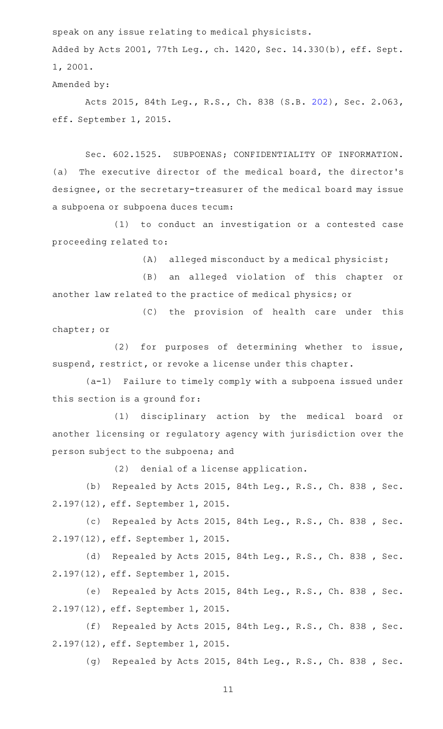speak on any issue relating to medical physicists.

Added by Acts 2001, 77th Leg., ch. 1420, Sec. 14.330(b), eff. Sept. 1, 2001.

Amended by:

Acts 2015, 84th Leg., R.S., Ch. 838 (S.B. [202](http://www.legis.state.tx.us/tlodocs/84R/billtext/html/SB00202F.HTM)), Sec. 2.063, eff. September 1, 2015.

Sec. 602.1525. SUBPOENAS; CONFIDENTIALITY OF INFORMATION. (a) The executive director of the medical board, the director's designee, or the secretary-treasurer of the medical board may issue a subpoena or subpoena duces tecum:

(1) to conduct an investigation or a contested case proceeding related to:

 $(A)$  alleged misconduct by a medical physicist;

(B) an alleged violation of this chapter or another law related to the practice of medical physics; or

(C) the provision of health care under this chapter; or

(2) for purposes of determining whether to issue, suspend, restrict, or revoke a license under this chapter.

 $(a-1)$  Failure to timely comply with a subpoena issued under this section is a ground for:

(1) disciplinary action by the medical board or another licensing or regulatory agency with jurisdiction over the person subject to the subpoena; and

 $(2)$  denial of a license application.

(b) Repealed by Acts 2015, 84th Leg., R.S., Ch. 838 , Sec. 2.197(12), eff. September 1, 2015.

(c) Repealed by Acts 2015, 84th Leg., R.S., Ch. 838 , Sec. 2.197(12), eff. September 1, 2015.

(d) Repealed by Acts 2015, 84th Leg., R.S., Ch. 838 , Sec. 2.197(12), eff. September 1, 2015.

(e) Repealed by Acts 2015, 84th Leg., R.S., Ch. 838 , Sec. 2.197(12), eff. September 1, 2015.

(f) Repealed by Acts 2015, 84th Leg., R.S., Ch. 838, Sec. 2.197(12), eff. September 1, 2015.

(g) Repealed by Acts 2015, 84th Leg., R.S., Ch. 838 , Sec.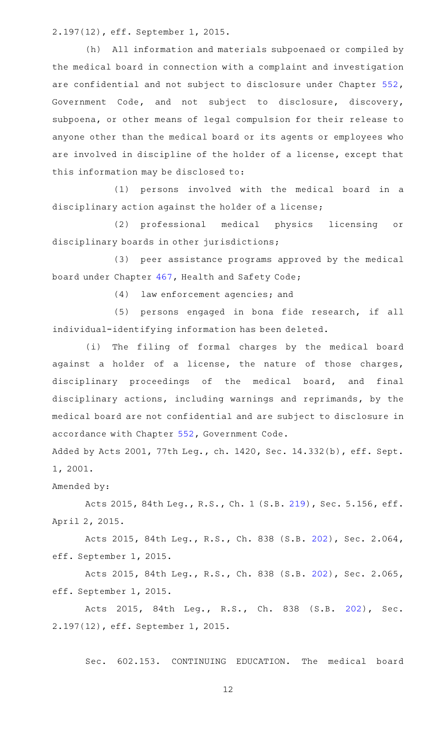2.197(12), eff. September 1, 2015.

(h) All information and materials subpoenaed or compiled by the medical board in connection with a complaint and investigation are confidential and not subject to disclosure under Chapter [552](http://www.statutes.legis.state.tx.us/GetStatute.aspx?Code=GV&Value=552), Government Code, and not subject to disclosure, discovery, subpoena, or other means of legal compulsion for their release to anyone other than the medical board or its agents or employees who are involved in discipline of the holder of a license, except that this information may be disclosed to:

(1) persons involved with the medical board in a disciplinary action against the holder of a license;

(2) professional medical physics licensing or disciplinary boards in other jurisdictions;

(3) peer assistance programs approved by the medical board under Chapter [467](http://www.statutes.legis.state.tx.us/GetStatute.aspx?Code=HS&Value=467), Health and Safety Code;

(4) law enforcement agencies; and

(5) persons engaged in bona fide research, if all individual-identifying information has been deleted.

(i) The filing of formal charges by the medical board against a holder of a license, the nature of those charges, disciplinary proceedings of the medical board, and final disciplinary actions, including warnings and reprimands, by the medical board are not confidential and are subject to disclosure in accordance with Chapter [552](http://www.statutes.legis.state.tx.us/GetStatute.aspx?Code=GV&Value=552), Government Code.

Added by Acts 2001, 77th Leg., ch. 1420, Sec. 14.332(b), eff. Sept. 1, 2001.

Amended by:

Acts 2015, 84th Leg., R.S., Ch. 1 (S.B. [219](http://www.legis.state.tx.us/tlodocs/84R/billtext/html/SB00219F.HTM)), Sec. 5.156, eff. April 2, 2015.

Acts 2015, 84th Leg., R.S., Ch. 838 (S.B. [202](http://www.legis.state.tx.us/tlodocs/84R/billtext/html/SB00202F.HTM)), Sec. 2.064, eff. September 1, 2015.

Acts 2015, 84th Leg., R.S., Ch. 838 (S.B. [202](http://www.legis.state.tx.us/tlodocs/84R/billtext/html/SB00202F.HTM)), Sec. 2.065, eff. September 1, 2015.

Acts 2015, 84th Leg., R.S., Ch. 838 (S.B. [202\)](http://www.legis.state.tx.us/tlodocs/84R/billtext/html/SB00202F.HTM), Sec. 2.197(12), eff. September 1, 2015.

Sec. 602.153. CONTINUING EDUCATION. The medical board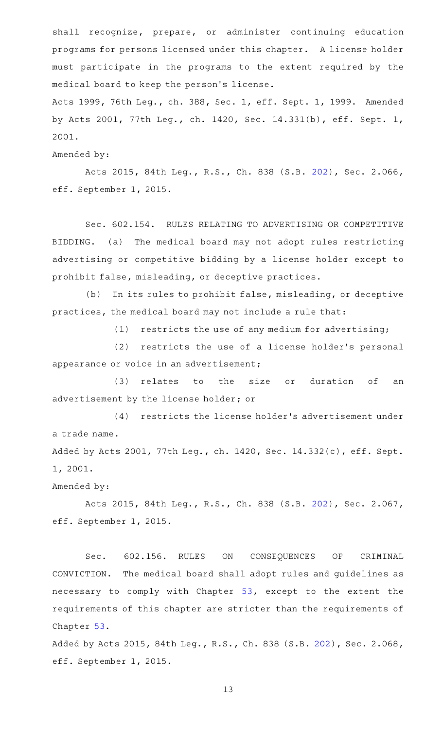shall recognize, prepare, or administer continuing education programs for persons licensed under this chapter. A license holder must participate in the programs to the extent required by the medical board to keep the person 's license.

Acts 1999, 76th Leg., ch. 388, Sec. 1, eff. Sept. 1, 1999. Amended by Acts 2001, 77th Leg., ch. 1420, Sec. 14.331(b), eff. Sept. 1, 2001.

Amended by:

Acts 2015, 84th Leg., R.S., Ch. 838 (S.B. [202](http://www.legis.state.tx.us/tlodocs/84R/billtext/html/SB00202F.HTM)), Sec. 2.066, eff. September 1, 2015.

Sec. 602.154. RULES RELATING TO ADVERTISING OR COMPETITIVE BIDDING. (a) The medical board may not adopt rules restricting advertising or competitive bidding by a license holder except to prohibit false, misleading, or deceptive practices.

(b) In its rules to prohibit false, misleading, or deceptive practices, the medical board may not include a rule that:

 $(1)$  restricts the use of any medium for advertising;

(2) restricts the use of a license holder's personal appearance or voice in an advertisement;

(3) relates to the size or duration of an advertisement by the license holder; or

(4) restricts the license holder's advertisement under a trade name.

Added by Acts 2001, 77th Leg., ch. 1420, Sec. 14.332(c), eff. Sept. 1, 2001.

Amended by:

Acts 2015, 84th Leg., R.S., Ch. 838 (S.B. [202](http://www.legis.state.tx.us/tlodocs/84R/billtext/html/SB00202F.HTM)), Sec. 2.067, eff. September 1, 2015.

Sec. 602.156. RULES ON CONSEQUENCES OF CRIMINAL CONVICTION. The medical board shall adopt rules and guidelines as necessary to comply with Chapter [53,](http://www.statutes.legis.state.tx.us/GetStatute.aspx?Code=OC&Value=53) except to the extent the requirements of this chapter are stricter than the requirements of Chapter [53.](http://www.statutes.legis.state.tx.us/GetStatute.aspx?Code=OC&Value=53)

Added by Acts 2015, 84th Leg., R.S., Ch. 838 (S.B. [202\)](http://www.legis.state.tx.us/tlodocs/84R/billtext/html/SB00202F.HTM), Sec. 2.068, eff. September 1, 2015.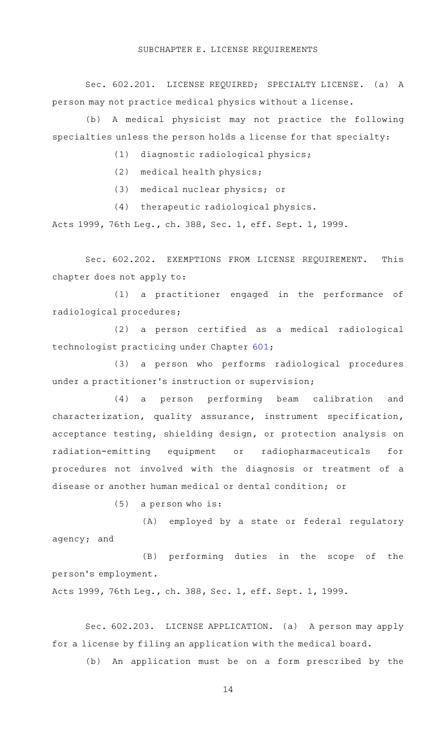Sec. 602.201. LICENSE REQUIRED; SPECIALTY LICENSE. (a) A person may not practice medical physics without a license.

(b) A medical physicist may not practice the following specialties unless the person holds a license for that specialty:

(1) diagnostic radiological physics;

 $(2)$  medical health physics;

(3) medical nuclear physics; or

(4) therapeutic radiological physics.

Acts 1999, 76th Leg., ch. 388, Sec. 1, eff. Sept. 1, 1999.

Sec. 602.202. EXEMPTIONS FROM LICENSE REQUIREMENT. This chapter does not apply to:

(1) a practitioner engaged in the performance of radiological procedures;

(2) a person certified as a medical radiological technologist practicing under Chapter [601](http://www.statutes.legis.state.tx.us/GetStatute.aspx?Code=OC&Value=601);

(3) a person who performs radiological procedures under a practitioner 's instruction or supervision;

(4) a person performing beam calibration and characterization, quality assurance, instrument specification, acceptance testing, shielding design, or protection analysis on radiation-emitting equipment or radiopharmaceuticals for procedures not involved with the diagnosis or treatment of a disease or another human medical or dental condition; or

 $(5)$  a person who is:

(A) employed by a state or federal regulatory agency; and

(B) performing duties in the scope of the person 's employment.

Acts 1999, 76th Leg., ch. 388, Sec. 1, eff. Sept. 1, 1999.

Sec. 602.203. LICENSE APPLICATION. (a) A person may apply for a license by filing an application with the medical board.

(b) An application must be on a form prescribed by the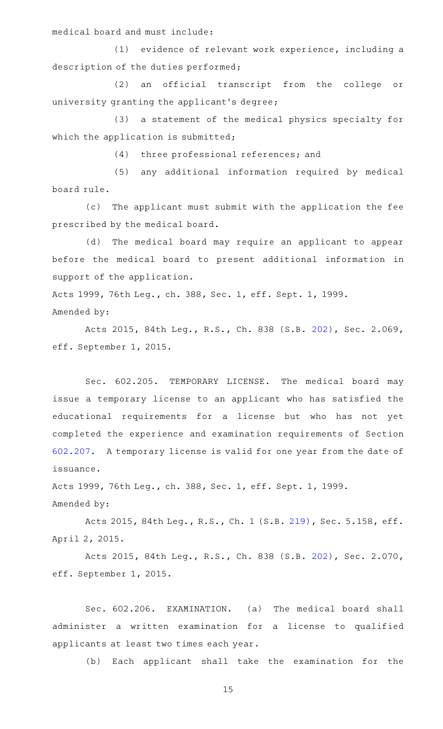medical board and must include:

(1) evidence of relevant work experience, including a description of the duties performed;

(2) an official transcript from the college or university granting the applicant 's degree;

(3) a statement of the medical physics specialty for which the application is submitted;

(4) three professional references; and

(5) any additional information required by medical board rule.

(c) The applicant must submit with the application the fee prescribed by the medical board.

(d) The medical board may require an applicant to appear before the medical board to present additional information in support of the application.

Acts 1999, 76th Leg., ch. 388, Sec. 1, eff. Sept. 1, 1999. Amended by:

Acts 2015, 84th Leg., R.S., Ch. 838 (S.B. [202](http://www.legis.state.tx.us/tlodocs/84R/billtext/html/SB00202F.HTM)), Sec. 2.069, eff. September 1, 2015.

Sec. 602.205. TEMPORARY LICENSE. The medical board may issue a temporary license to an applicant who has satisfied the educational requirements for a license but who has not yet completed the experience and examination requirements of Section [602.207.](http://www.statutes.legis.state.tx.us/GetStatute.aspx?Code=OC&Value=602.207) A temporary license is valid for one year from the date of issuance.

Acts 1999, 76th Leg., ch. 388, Sec. 1, eff. Sept. 1, 1999. Amended by:

Acts 2015, 84th Leg., R.S., Ch. 1 (S.B. [219](http://www.legis.state.tx.us/tlodocs/84R/billtext/html/SB00219F.HTM)), Sec. 5.158, eff. April 2, 2015.

Acts 2015, 84th Leg., R.S., Ch. 838 (S.B. [202](http://www.legis.state.tx.us/tlodocs/84R/billtext/html/SB00202F.HTM)), Sec. 2.070, eff. September 1, 2015.

Sec. 602.206. EXAMINATION. (a) The medical board shall administer a written examination for a license to qualified applicants at least two times each year.

(b) Each applicant shall take the examination for the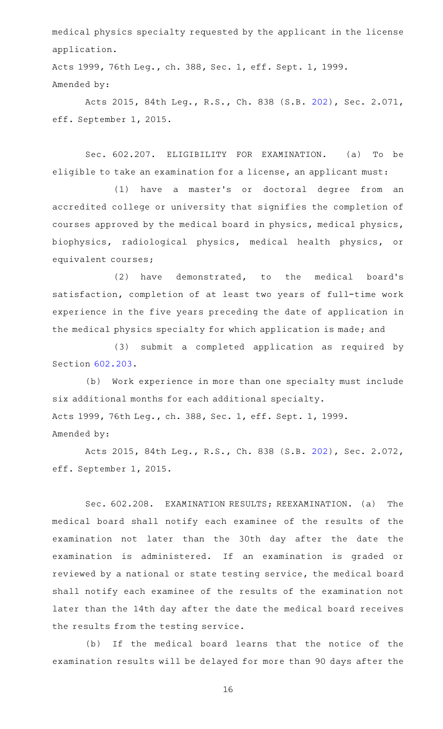medical physics specialty requested by the applicant in the license application.

Acts 1999, 76th Leg., ch. 388, Sec. 1, eff. Sept. 1, 1999. Amended by:

Acts 2015, 84th Leg., R.S., Ch. 838 (S.B. [202](http://www.legis.state.tx.us/tlodocs/84R/billtext/html/SB00202F.HTM)), Sec. 2.071, eff. September 1, 2015.

Sec. 602.207. ELIGIBILITY FOR EXAMINATION. (a) To be eligible to take an examination for a license, an applicant must:

(1) have a master's or doctoral degree from an accredited college or university that signifies the completion of courses approved by the medical board in physics, medical physics, biophysics, radiological physics, medical health physics, or equivalent courses;

 $(2)$  have demonstrated, to the medical board's satisfaction, completion of at least two years of full-time work experience in the five years preceding the date of application in the medical physics specialty for which application is made; and

(3) submit a completed application as required by Section [602.203.](http://www.statutes.legis.state.tx.us/GetStatute.aspx?Code=OC&Value=602.203)

(b) Work experience in more than one specialty must include six additional months for each additional specialty. Acts 1999, 76th Leg., ch. 388, Sec. 1, eff. Sept. 1, 1999. Amended by:

Acts 2015, 84th Leg., R.S., Ch. 838 (S.B. [202](http://www.legis.state.tx.us/tlodocs/84R/billtext/html/SB00202F.HTM)), Sec. 2.072, eff. September 1, 2015.

Sec. 602.208. EXAMINATION RESULTS; REEXAMINATION. (a) The medical board shall notify each examinee of the results of the examination not later than the 30th day after the date the examination is administered. If an examination is graded or reviewed by a national or state testing service, the medical board shall notify each examinee of the results of the examination not later than the 14th day after the date the medical board receives the results from the testing service.

(b) If the medical board learns that the notice of the examination results will be delayed for more than 90 days after the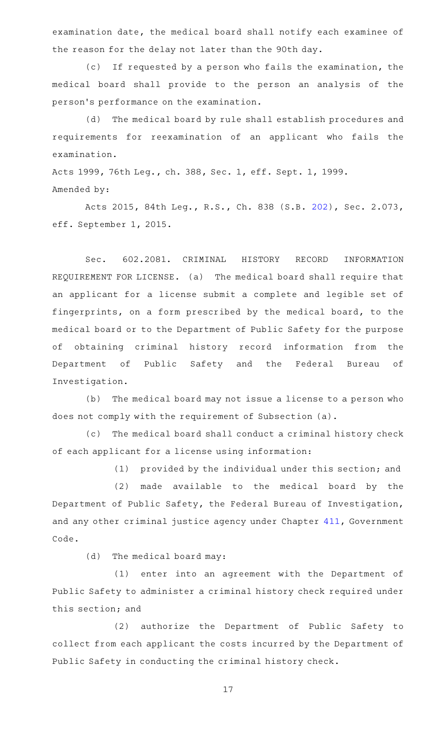examination date, the medical board shall notify each examinee of the reason for the delay not later than the 90th day.

(c) If requested by a person who fails the examination, the medical board shall provide to the person an analysis of the person 's performance on the examination.

(d) The medical board by rule shall establish procedures and requirements for reexamination of an applicant who fails the examination.

Acts 1999, 76th Leg., ch. 388, Sec. 1, eff. Sept. 1, 1999. Amended by:

Acts 2015, 84th Leg., R.S., Ch. 838 (S.B. [202](http://www.legis.state.tx.us/tlodocs/84R/billtext/html/SB00202F.HTM)), Sec. 2.073, eff. September 1, 2015.

Sec. 602.2081. CRIMINAL HISTORY RECORD INFORMATION REQUIREMENT FOR LICENSE. (a) The medical board shall require that an applicant for a license submit a complete and legible set of fingerprints, on a form prescribed by the medical board, to the medical board or to the Department of Public Safety for the purpose of obtaining criminal history record information from the Department of Public Safety and the Federal Bureau of Investigation.

(b) The medical board may not issue a license to a person who does not comply with the requirement of Subsection (a).

(c) The medical board shall conduct a criminal history check of each applicant for a license using information:

(1) provided by the individual under this section; and

(2) made available to the medical board by the Department of Public Safety, the Federal Bureau of Investigation, and any other criminal justice agency under Chapter [411,](http://www.statutes.legis.state.tx.us/GetStatute.aspx?Code=GV&Value=411) Government Code.

 $(d)$  The medical board may:

(1) enter into an agreement with the Department of Public Safety to administer a criminal history check required under this section; and

(2) authorize the Department of Public Safety to collect from each applicant the costs incurred by the Department of Public Safety in conducting the criminal history check.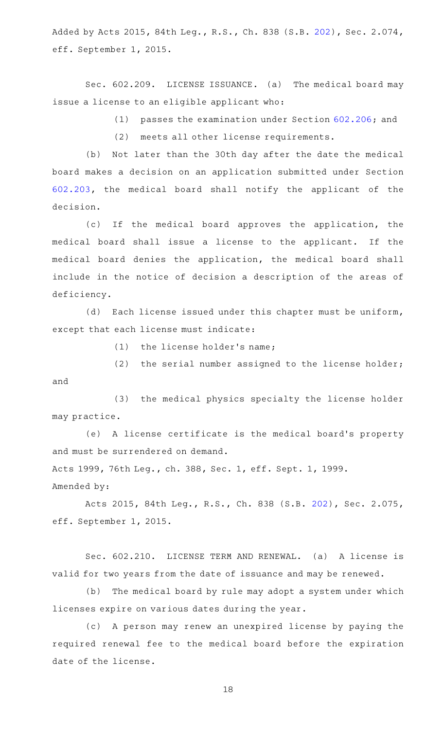Added by Acts 2015, 84th Leg., R.S., Ch. 838 (S.B. [202\)](http://www.legis.state.tx.us/tlodocs/84R/billtext/html/SB00202F.HTM), Sec. 2.074, eff. September 1, 2015.

Sec. 602.209. LICENSE ISSUANCE. (a) The medical board may issue a license to an eligible applicant who:

(1) passes the examination under Section [602.206;](http://www.statutes.legis.state.tx.us/GetStatute.aspx?Code=OC&Value=602.206) and

(2) meets all other license requirements.

(b) Not later than the 30th day after the date the medical board makes a decision on an application submitted under Section [602.203,](http://www.statutes.legis.state.tx.us/GetStatute.aspx?Code=OC&Value=602.203) the medical board shall notify the applicant of the decision.

(c) If the medical board approves the application, the medical board shall issue a license to the applicant. If the medical board denies the application, the medical board shall include in the notice of decision a description of the areas of deficiency.

(d) Each license issued under this chapter must be uniform, except that each license must indicate:

 $(1)$  the license holder's name;

(2) the serial number assigned to the license holder; and

(3) the medical physics specialty the license holder may practice.

(e) A license certificate is the medical board's property and must be surrendered on demand.

Acts 1999, 76th Leg., ch. 388, Sec. 1, eff. Sept. 1, 1999.

Amended by:

Acts 2015, 84th Leg., R.S., Ch. 838 (S.B. [202](http://www.legis.state.tx.us/tlodocs/84R/billtext/html/SB00202F.HTM)), Sec. 2.075, eff. September 1, 2015.

Sec. 602.210. LICENSE TERM AND RENEWAL. (a) A license is valid for two years from the date of issuance and may be renewed.

(b) The medical board by rule may adopt a system under which licenses expire on various dates during the year.

(c) A person may renew an unexpired license by paying the required renewal fee to the medical board before the expiration date of the license.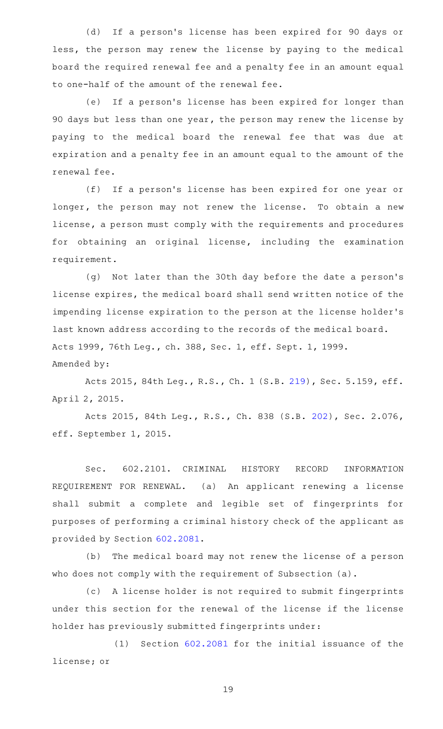(d) If a person's license has been expired for 90 days or less, the person may renew the license by paying to the medical board the required renewal fee and a penalty fee in an amount equal to one-half of the amount of the renewal fee.

(e) If a person's license has been expired for longer than 90 days but less than one year, the person may renew the license by paying to the medical board the renewal fee that was due at expiration and a penalty fee in an amount equal to the amount of the renewal fee.

(f) If a person's license has been expired for one year or longer, the person may not renew the license. To obtain a new license, a person must comply with the requirements and procedures for obtaining an original license, including the examination requirement.

(g) Not later than the 30th day before the date a person's license expires, the medical board shall send written notice of the impending license expiration to the person at the license holder 's last known address according to the records of the medical board. Acts 1999, 76th Leg., ch. 388, Sec. 1, eff. Sept. 1, 1999. Amended by:

Acts 2015, 84th Leg., R.S., Ch. 1 (S.B. [219](http://www.legis.state.tx.us/tlodocs/84R/billtext/html/SB00219F.HTM)), Sec. 5.159, eff. April 2, 2015.

Acts 2015, 84th Leg., R.S., Ch. 838 (S.B. [202](http://www.legis.state.tx.us/tlodocs/84R/billtext/html/SB00202F.HTM)), Sec. 2.076, eff. September 1, 2015.

Sec. 602.2101. CRIMINAL HISTORY RECORD INFORMATION REQUIREMENT FOR RENEWAL. (a) An applicant renewing a license shall submit a complete and legible set of fingerprints for purposes of performing a criminal history check of the applicant as provided by Section [602.2081.](http://www.statutes.legis.state.tx.us/GetStatute.aspx?Code=OC&Value=602.2081)

(b) The medical board may not renew the license of a person who does not comply with the requirement of Subsection (a).

(c) A license holder is not required to submit fingerprints under this section for the renewal of the license if the license holder has previously submitted fingerprints under:

 $(1)$  Section  $602.2081$  for the initial issuance of the license; or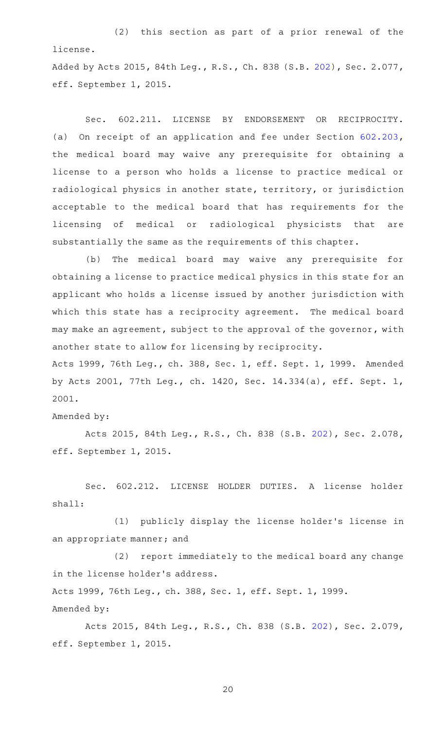$(2)$  this section as part of a prior renewal of the license.

Added by Acts 2015, 84th Leg., R.S., Ch. 838 (S.B. [202\)](http://www.legis.state.tx.us/tlodocs/84R/billtext/html/SB00202F.HTM), Sec. 2.077, eff. September 1, 2015.

Sec. 602.211. LICENSE BY ENDORSEMENT OR RECIPROCITY. (a) On receipt of an application and fee under Section [602.203](http://www.statutes.legis.state.tx.us/GetStatute.aspx?Code=OC&Value=602.203), the medical board may waive any prerequisite for obtaining a license to a person who holds a license to practice medical or radiological physics in another state, territory, or jurisdiction acceptable to the medical board that has requirements for the licensing of medical or radiological physicists that are substantially the same as the requirements of this chapter.

(b) The medical board may waive any prerequisite for obtaining a license to practice medical physics in this state for an applicant who holds a license issued by another jurisdiction with which this state has a reciprocity agreement. The medical board may make an agreement, subject to the approval of the governor, with another state to allow for licensing by reciprocity.

Acts 1999, 76th Leg., ch. 388, Sec. 1, eff. Sept. 1, 1999. Amended by Acts 2001, 77th Leg., ch. 1420, Sec. 14.334(a), eff. Sept. 1, 2001.

Amended by:

Acts 2015, 84th Leg., R.S., Ch. 838 (S.B. [202](http://www.legis.state.tx.us/tlodocs/84R/billtext/html/SB00202F.HTM)), Sec. 2.078, eff. September 1, 2015.

Sec. 602.212. LICENSE HOLDER DUTIES. A license holder shall:

(1) publicly display the license holder's license in an appropriate manner; and

(2) report immediately to the medical board any change in the license holder 's address.

Acts 1999, 76th Leg., ch. 388, Sec. 1, eff. Sept. 1, 1999.

Amended by:

Acts 2015, 84th Leg., R.S., Ch. 838 (S.B. [202](http://www.legis.state.tx.us/tlodocs/84R/billtext/html/SB00202F.HTM)), Sec. 2.079, eff. September 1, 2015.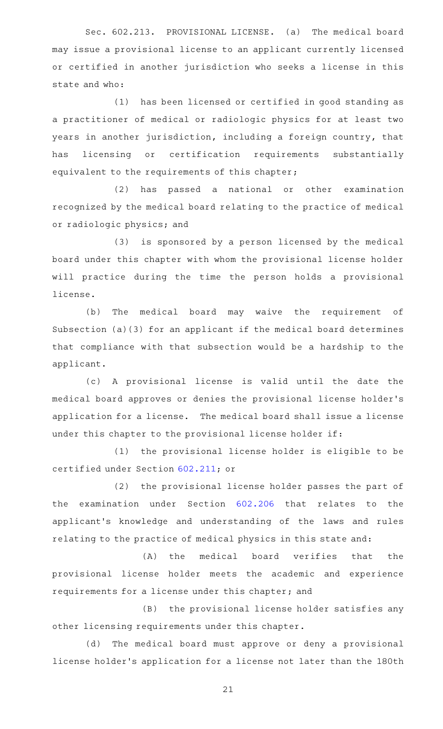Sec. 602.213. PROVISIONAL LICENSE. (a) The medical board may issue a provisional license to an applicant currently licensed or certified in another jurisdiction who seeks a license in this state and who:

(1) has been licensed or certified in good standing as a practitioner of medical or radiologic physics for at least two years in another jurisdiction, including a foreign country, that has licensing or certification requirements substantially equivalent to the requirements of this chapter;

(2) has passed a national or other examination recognized by the medical board relating to the practice of medical or radiologic physics; and

(3) is sponsored by a person licensed by the medical board under this chapter with whom the provisional license holder will practice during the time the person holds a provisional license.

(b) The medical board may waive the requirement of Subsection (a)(3) for an applicant if the medical board determines that compliance with that subsection would be a hardship to the applicant.

(c)AAA provisional license is valid until the date the medical board approves or denies the provisional license holder 's application for a license. The medical board shall issue a license under this chapter to the provisional license holder if:

(1) the provisional license holder is eligible to be certified under Section [602.211](http://www.statutes.legis.state.tx.us/GetStatute.aspx?Code=OC&Value=602.211); or

(2) the provisional license holder passes the part of the examination under Section [602.206](http://www.statutes.legis.state.tx.us/GetStatute.aspx?Code=OC&Value=602.206) that relates to the applicant 's knowledge and understanding of the laws and rules relating to the practice of medical physics in this state and:

(A) the medical board verifies that the provisional license holder meets the academic and experience requirements for a license under this chapter; and

(B) the provisional license holder satisfies any other licensing requirements under this chapter.

(d) The medical board must approve or deny a provisional license holder 's application for a license not later than the 180th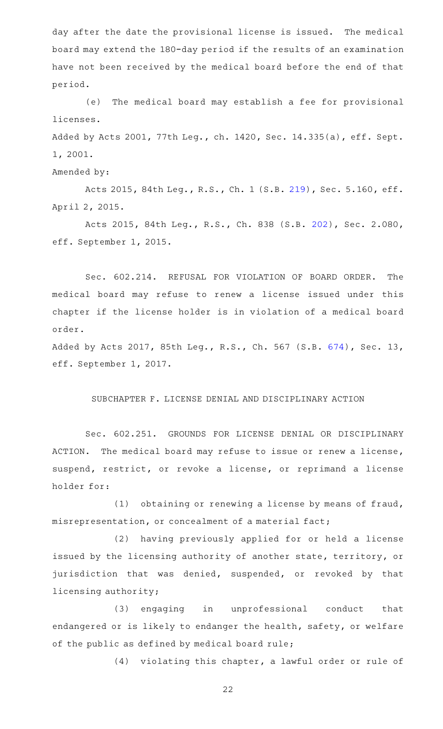day after the date the provisional license is issued. The medical board may extend the 180-day period if the results of an examination have not been received by the medical board before the end of that period.

(e) The medical board may establish a fee for provisional licenses.

Added by Acts 2001, 77th Leg., ch. 1420, Sec. 14.335(a), eff. Sept. 1, 2001.

# Amended by:

Acts 2015, 84th Leg., R.S., Ch. 1 (S.B. [219](http://www.legis.state.tx.us/tlodocs/84R/billtext/html/SB00219F.HTM)), Sec. 5.160, eff. April 2, 2015.

Acts 2015, 84th Leg., R.S., Ch. 838 (S.B. [202](http://www.legis.state.tx.us/tlodocs/84R/billtext/html/SB00202F.HTM)), Sec. 2.080, eff. September 1, 2015.

Sec. 602.214. REFUSAL FOR VIOLATION OF BOARD ORDER. The medical board may refuse to renew a license issued under this chapter if the license holder is in violation of a medical board order.

Added by Acts 2017, 85th Leg., R.S., Ch. 567 (S.B. [674\)](http://www.legis.state.tx.us/tlodocs/85R/billtext/html/SB00674F.HTM), Sec. 13, eff. September 1, 2017.

## SUBCHAPTER F. LICENSE DENIAL AND DISCIPLINARY ACTION

Sec. 602.251. GROUNDS FOR LICENSE DENIAL OR DISCIPLINARY ACTION. The medical board may refuse to issue or renew a license, suspend, restrict, or revoke a license, or reprimand a license holder for:

(1) obtaining or renewing a license by means of fraud, misrepresentation, or concealment of a material fact;

(2) having previously applied for or held a license issued by the licensing authority of another state, territory, or jurisdiction that was denied, suspended, or revoked by that licensing authority;

(3) engaging in unprofessional conduct that endangered or is likely to endanger the health, safety, or welfare of the public as defined by medical board rule;

(4) violating this chapter, a lawful order or rule of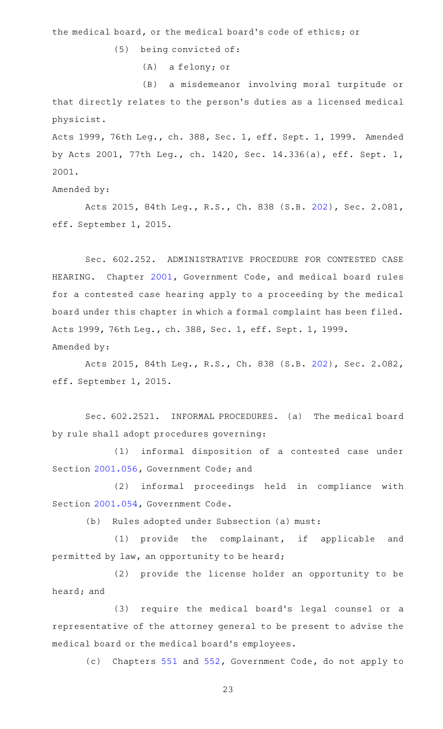the medical board, or the medical board's code of ethics; or

 $(5)$  being convicted of:

(A) a felony; or

(B) a misdemeanor involving moral turpitude or that directly relates to the person 's duties as a licensed medical physicist.

Acts 1999, 76th Leg., ch. 388, Sec. 1, eff. Sept. 1, 1999. Amended by Acts 2001, 77th Leg., ch. 1420, Sec. 14.336(a), eff. Sept. 1, 2001.

Amended by:

Acts 2015, 84th Leg., R.S., Ch. 838 (S.B. [202](http://www.legis.state.tx.us/tlodocs/84R/billtext/html/SB00202F.HTM)), Sec. 2.081, eff. September 1, 2015.

Sec. 602.252. ADMINISTRATIVE PROCEDURE FOR CONTESTED CASE HEARING. Chapter [2001](http://www.statutes.legis.state.tx.us/GetStatute.aspx?Code=GV&Value=2001), Government Code, and medical board rules for a contested case hearing apply to a proceeding by the medical board under this chapter in which a formal complaint has been filed. Acts 1999, 76th Leg., ch. 388, Sec. 1, eff. Sept. 1, 1999. Amended by:

Acts 2015, 84th Leg., R.S., Ch. 838 (S.B. [202](http://www.legis.state.tx.us/tlodocs/84R/billtext/html/SB00202F.HTM)), Sec. 2.082, eff. September 1, 2015.

Sec. 602.2521. INFORMAL PROCEDURES. (a) The medical board by rule shall adopt procedures governing:

(1) informal disposition of a contested case under Section [2001.056](http://www.statutes.legis.state.tx.us/GetStatute.aspx?Code=GV&Value=2001.056), Government Code; and

(2) informal proceedings held in compliance with Section [2001.054](http://www.statutes.legis.state.tx.us/GetStatute.aspx?Code=GV&Value=2001.054), Government Code.

(b) Rules adopted under Subsection (a) must:

(1) provide the complainant, if applicable and permitted by law, an opportunity to be heard;

(2) provide the license holder an opportunity to be heard; and

(3) require the medical board's legal counsel or a representative of the attorney general to be present to advise the medical board or the medical board 's employees.

(c) Chapters [551](http://www.statutes.legis.state.tx.us/GetStatute.aspx?Code=GV&Value=551) and [552,](http://www.statutes.legis.state.tx.us/GetStatute.aspx?Code=GV&Value=552) Government Code, do not apply to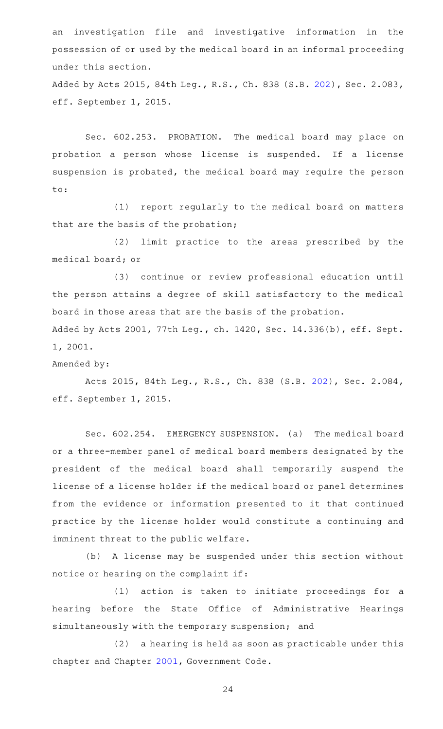an investigation file and investigative information in the possession of or used by the medical board in an informal proceeding under this section.

Added by Acts 2015, 84th Leg., R.S., Ch. 838 (S.B. [202\)](http://www.legis.state.tx.us/tlodocs/84R/billtext/html/SB00202F.HTM), Sec. 2.083, eff. September 1, 2015.

Sec. 602.253. PROBATION. The medical board may place on probation a person whose license is suspended. If a license suspension is probated, the medical board may require the person  $\mathsf{t}\circ\mathsf{t}$ 

(1) report regularly to the medical board on matters that are the basis of the probation;

(2) limit practice to the areas prescribed by the medical board; or

(3) continue or review professional education until the person attains a degree of skill satisfactory to the medical board in those areas that are the basis of the probation.

Added by Acts 2001, 77th Leg., ch. 1420, Sec. 14.336(b), eff. Sept. 1, 2001.

Amended by:

Acts 2015, 84th Leg., R.S., Ch. 838 (S.B. [202](http://www.legis.state.tx.us/tlodocs/84R/billtext/html/SB00202F.HTM)), Sec. 2.084, eff. September 1, 2015.

Sec. 602.254. EMERGENCY SUSPENSION. (a) The medical board or a three-member panel of medical board members designated by the president of the medical board shall temporarily suspend the license of a license holder if the medical board or panel determines from the evidence or information presented to it that continued practice by the license holder would constitute a continuing and imminent threat to the public welfare.

(b) A license may be suspended under this section without notice or hearing on the complaint if:

(1) action is taken to initiate proceedings for a hearing before the State Office of Administrative Hearings simultaneously with the temporary suspension; and

(2) a hearing is held as soon as practicable under this chapter and Chapter [2001,](http://www.statutes.legis.state.tx.us/GetStatute.aspx?Code=GV&Value=2001) Government Code.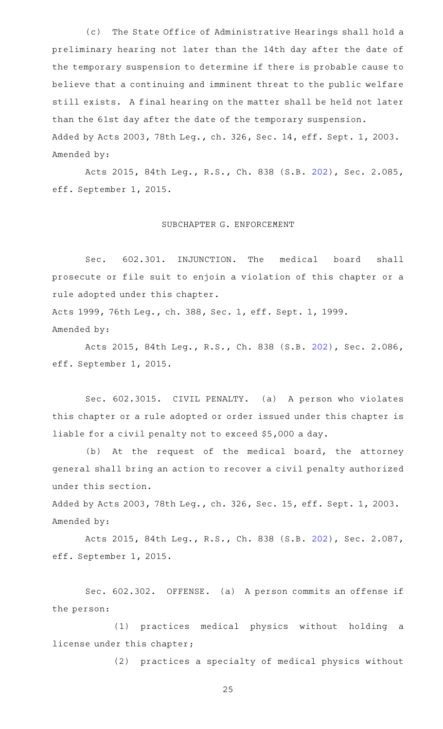(c) The State Office of Administrative Hearings shall hold a preliminary hearing not later than the 14th day after the date of the temporary suspension to determine if there is probable cause to believe that a continuing and imminent threat to the public welfare still exists. A final hearing on the matter shall be held not later than the 61st day after the date of the temporary suspension. Added by Acts 2003, 78th Leg., ch. 326, Sec. 14, eff. Sept. 1, 2003. Amended by:

Acts 2015, 84th Leg., R.S., Ch. 838 (S.B. [202](http://www.legis.state.tx.us/tlodocs/84R/billtext/html/SB00202F.HTM)), Sec. 2.085, eff. September 1, 2015.

# SUBCHAPTER G. ENFORCEMENT

Sec. 602.301. INJUNCTION. The medical board shall prosecute or file suit to enjoin a violation of this chapter or a rule adopted under this chapter.

Acts 1999, 76th Leg., ch. 388, Sec. 1, eff. Sept. 1, 1999. Amended by:

Acts 2015, 84th Leg., R.S., Ch. 838 (S.B. [202](http://www.legis.state.tx.us/tlodocs/84R/billtext/html/SB00202F.HTM)), Sec. 2.086, eff. September 1, 2015.

Sec. 602.3015. CIVIL PENALTY. (a) A person who violates this chapter or a rule adopted or order issued under this chapter is liable for a civil penalty not to exceed \$5,000 a day.

(b) At the request of the medical board, the attorney general shall bring an action to recover a civil penalty authorized under this section.

Added by Acts 2003, 78th Leg., ch. 326, Sec. 15, eff. Sept. 1, 2003. Amended by:

Acts 2015, 84th Leg., R.S., Ch. 838 (S.B. [202](http://www.legis.state.tx.us/tlodocs/84R/billtext/html/SB00202F.HTM)), Sec. 2.087, eff. September 1, 2015.

Sec. 602.302. OFFENSE. (a) A person commits an offense if the person:

(1) practices medical physics without holding a license under this chapter;

(2) practices a specialty of medical physics without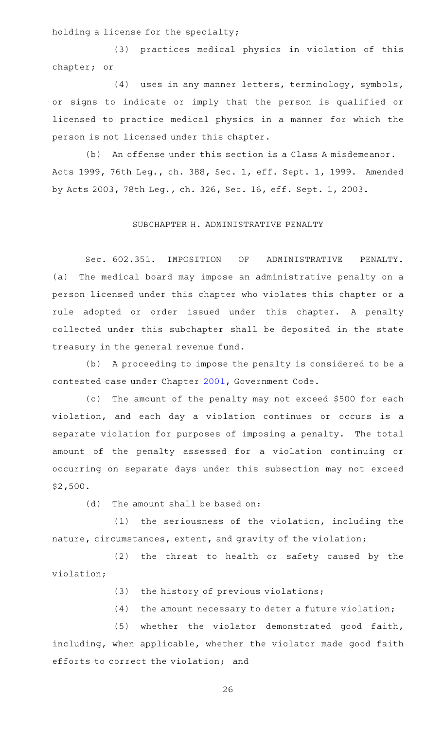holding a license for the specialty;

(3) practices medical physics in violation of this chapter; or

(4) uses in any manner letters, terminology, symbols, or signs to indicate or imply that the person is qualified or licensed to practice medical physics in a manner for which the person is not licensed under this chapter.

(b) An offense under this section is a Class A misdemeanor. Acts 1999, 76th Leg., ch. 388, Sec. 1, eff. Sept. 1, 1999. Amended by Acts 2003, 78th Leg., ch. 326, Sec. 16, eff. Sept. 1, 2003.

# SUBCHAPTER H. ADMINISTRATIVE PENALTY

Sec. 602.351. IMPOSITION OF ADMINISTRATIVE PENALTY. (a) The medical board may impose an administrative penalty on a person licensed under this chapter who violates this chapter or a rule adopted or order issued under this chapter. A penalty collected under this subchapter shall be deposited in the state treasury in the general revenue fund.

(b) A proceeding to impose the penalty is considered to be a contested case under Chapter [2001](http://www.statutes.legis.state.tx.us/GetStatute.aspx?Code=GV&Value=2001), Government Code.

(c) The amount of the penalty may not exceed \$500 for each violation, and each day a violation continues or occurs is a separate violation for purposes of imposing a penalty. The total amount of the penalty assessed for a violation continuing or occurring on separate days under this subsection may not exceed \$2,500.

 $(d)$  The amount shall be based on:

 $(1)$  the seriousness of the violation, including the nature, circumstances, extent, and gravity of the violation;

(2) the threat to health or safety caused by the violation;

(3) the history of previous violations;

 $(4)$  the amount necessary to deter a future violation;

(5) whether the violator demonstrated good faith, including, when applicable, whether the violator made good faith efforts to correct the violation; and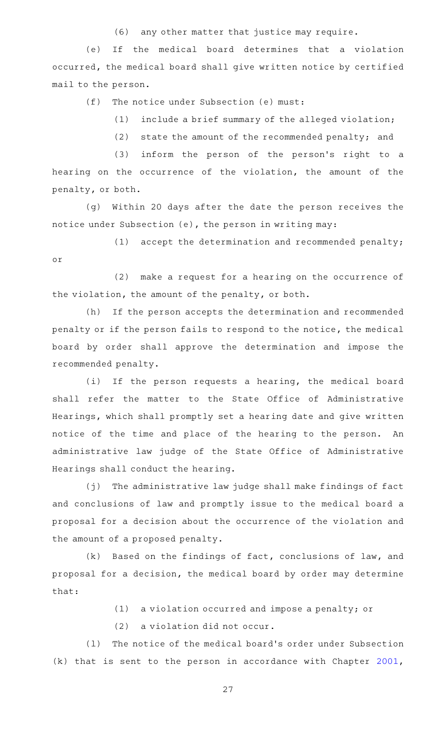(6) any other matter that justice may require.

(e) If the medical board determines that a violation occurred, the medical board shall give written notice by certified mail to the person.

 $(f)$  The notice under Subsection (e) must:

 $(1)$  include a brief summary of the alleged violation;

(2) state the amount of the recommended penalty; and

(3) inform the person of the person's right to a hearing on the occurrence of the violation, the amount of the penalty, or both.

(g) Within 20 days after the date the person receives the notice under Subsection (e), the person in writing may:

 $(1)$  accept the determination and recommended penalty; or

 $(2)$  make a request for a hearing on the occurrence of the violation, the amount of the penalty, or both.

(h) If the person accepts the determination and recommended penalty or if the person fails to respond to the notice, the medical board by order shall approve the determination and impose the recommended penalty.

(i) If the person requests a hearing, the medical board shall refer the matter to the State Office of Administrative Hearings, which shall promptly set a hearing date and give written notice of the time and place of the hearing to the person. An administrative law judge of the State Office of Administrative Hearings shall conduct the hearing.

 $(j)$  The administrative law judge shall make findings of fact and conclusions of law and promptly issue to the medical board a proposal for a decision about the occurrence of the violation and the amount of a proposed penalty.

 $(k)$  Based on the findings of fact, conclusions of law, and proposal for a decision, the medical board by order may determine that:

 $(1)$  a violation occurred and impose a penalty; or

 $(2)$  a violation did not occur.

(1) The notice of the medical board's order under Subsection (k) that is sent to the person in accordance with Chapter [2001](http://www.statutes.legis.state.tx.us/GetStatute.aspx?Code=GV&Value=2001),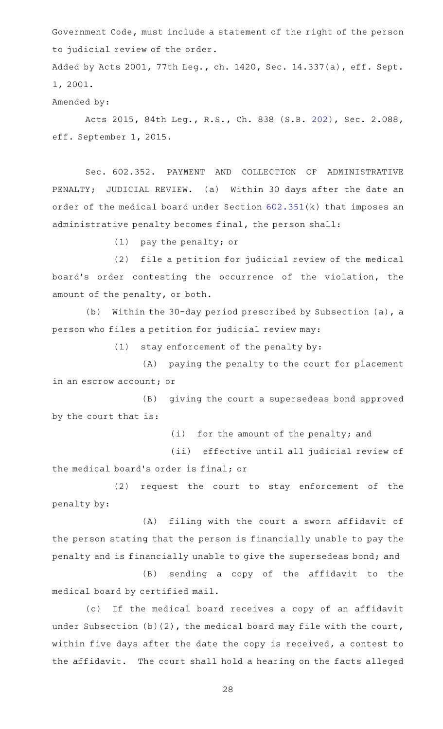Government Code, must include a statement of the right of the person to judicial review of the order.

Added by Acts 2001, 77th Leg., ch. 1420, Sec. 14.337(a), eff. Sept. 1, 2001.

Amended by:

Acts 2015, 84th Leg., R.S., Ch. 838 (S.B. [202](http://www.legis.state.tx.us/tlodocs/84R/billtext/html/SB00202F.HTM)), Sec. 2.088, eff. September 1, 2015.

Sec. 602.352. PAYMENT AND COLLECTION OF ADMINISTRATIVE PENALTY; JUDICIAL REVIEW. (a) Within 30 days after the date an order of the medical board under Section [602.351](http://www.statutes.legis.state.tx.us/GetStatute.aspx?Code=OC&Value=602.351)(k) that imposes an administrative penalty becomes final, the person shall:

 $(1)$  pay the penalty; or

(2) file a petition for judicial review of the medical board's order contesting the occurrence of the violation, the amount of the penalty, or both.

(b) Within the 30-day period prescribed by Subsection (a), a person who files a petition for judicial review may:

 $(1)$  stay enforcement of the penalty by:

(A) paying the penalty to the court for placement in an escrow account; or

(B) giving the court a supersedeas bond approved by the court that is:

 $(i)$  for the amount of the penalty; and

(ii) effective until all judicial review of the medical board's order is final; or

(2) request the court to stay enforcement of the penalty by:

(A) filing with the court a sworn affidavit of the person stating that the person is financially unable to pay the penalty and is financially unable to give the supersedeas bond; and

(B) sending a copy of the affidavit to the medical board by certified mail.

(c) If the medical board receives a copy of an affidavit under Subsection (b)(2), the medical board may file with the court, within five days after the date the copy is received, a contest to the affidavit. The court shall hold a hearing on the facts alleged